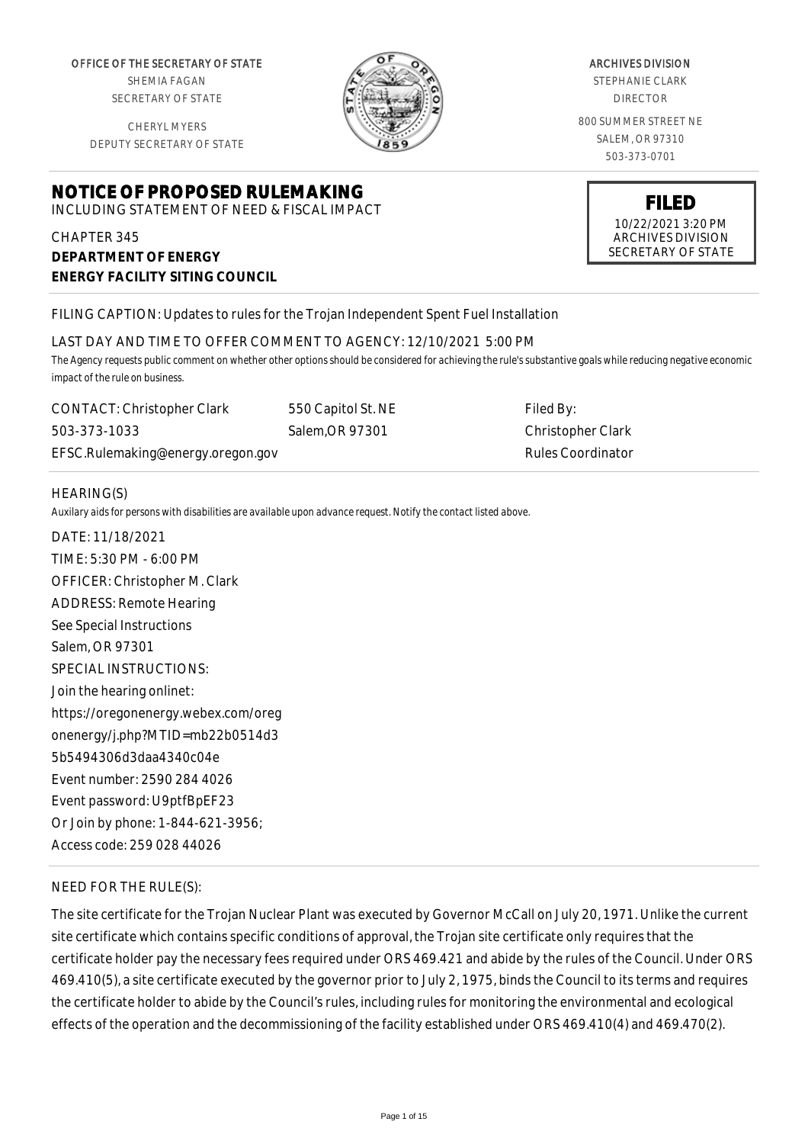OFFICE OF THE SECRETARY OF STATE SHEMIA FAGAN

SECRETARY OF STATE

CHERYL MYERS DEPUTY SECRETARY OF STATE

# **NOTICE OF PROPOSED RULEMAKING**

INCLUDING STATEMENT OF NEED & FISCAL IMPACT

CHAPTER 345 **DEPARTMENT OF ENERGY ENERGY FACILITY SITING COUNCIL**



#### ARCHIVES DIVISION

STEPHANIE CLARK DIRECTOR

800 SUMMER STREET NE SALEM, OR 97310 503-373-0701



ARCHIVES DIVISION SECRETARY OF STATE

#### FILING CAPTION: Updates to rules for the Trojan Independent Spent Fuel Installation

LAST DAY AND TIME TO OFFER COMMENT TO AGENCY: 12/10/2021 5:00 PM

*The Agency requests public comment on whether other options should be considered for achieving the rule's substantive goals while reducing negative economic impact of the rule on business.*

CONTACT: Christopher Clark 503-373-1033 EFSC.Rulemaking@energy.oregon.gov 550 Capitol St. NE Salem,OR 97301

Filed By: Christopher Clark Rules Coordinator

#### HEARING(S)

*Auxilary aids for persons with disabilities are available upon advance request. Notify the contact listed above.*

DATE: 11/18/2021 TIME: 5:30 PM - 6:00 PM OFFICER: Christopher M. Clark ADDRESS: Remote Hearing See Special Instructions Salem, OR 97301 SPECIAL INSTRUCTIONS: Join the hearing onlinet: https://oregonenergy.webex.com/oreg onenergy/j.php?MTID=mb22b0514d3 5b5494306d3daa4340c04e Event number: 2590 284 4026 Event password: U9ptfBpEF23 Or Join by phone: 1-844-621-3956; Access code: 259 028 44026

# NEED FOR THE RULE(S):

The site certificate for the Trojan Nuclear Plant was executed by Governor McCall on July 20, 1971. Unlike the current site certificate which contains specific conditions of approval, the Trojan site certificate only requires that the certificate holder pay the necessary fees required under ORS 469.421 and abide by the rules of the Council. Under ORS 469.410(5), a site certificate executed by the governor prior to July 2, 1975, binds the Council to its terms and requires the certificate holder to abide by the Council's rules, including rules for monitoring the environmental and ecological effects of the operation and the decommissioning of the facility established under ORS 469.410(4) and 469.470(2).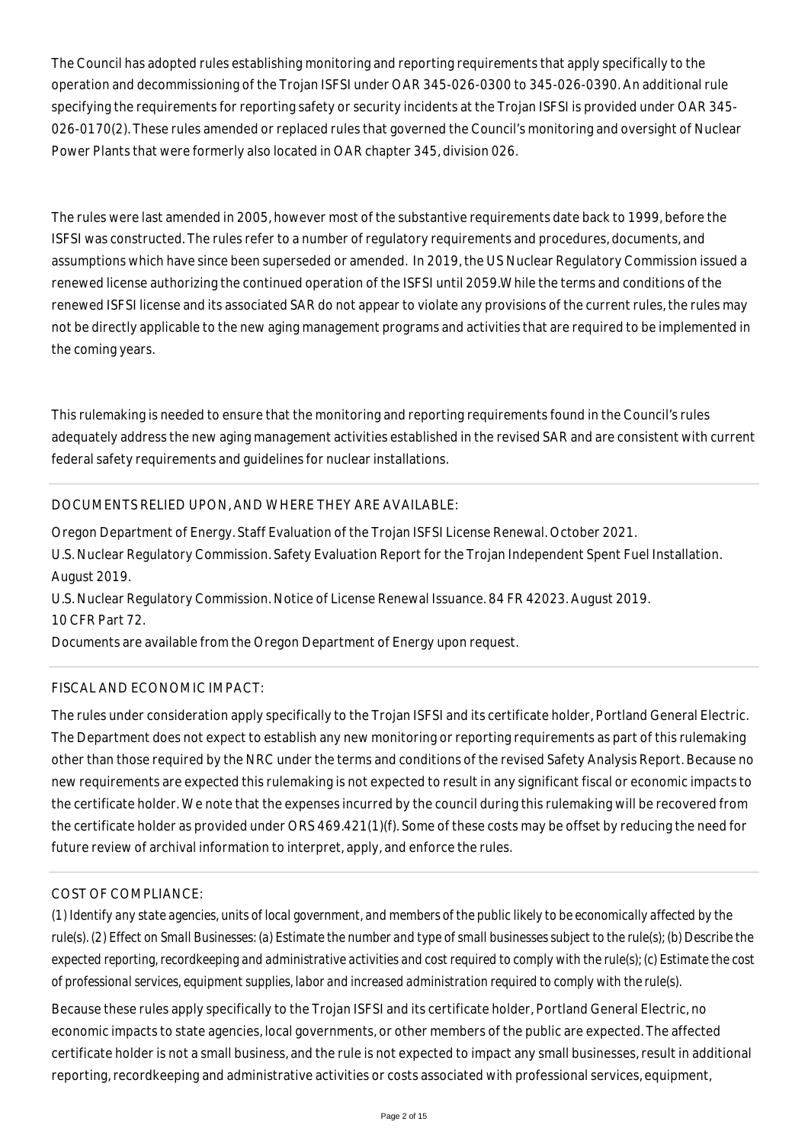The Council has adopted rules establishing monitoring and reporting requirements that apply specifically to the operation and decommissioning of the Trojan ISFSI under OAR 345-026-0300 to 345-026-0390. An additional rule specifying the requirements for reporting safety or security incidents at the Trojan ISFSI is provided under OAR 345- 026-0170(2). These rules amended or replaced rules that governed the Council's monitoring and oversight of Nuclear Power Plants that were formerly also located in OAR chapter 345, division 026.

The rules were last amended in 2005, however most of the substantive requirements date back to 1999, before the ISFSI was constructed. The rules refer to a number of regulatory requirements and procedures, documents, and assumptions which have since been superseded or amended. In 2019, the US Nuclear Regulatory Commission issued a renewed license authorizing the continued operation of the ISFSI until 2059.While the terms and conditions of the renewed ISFSI license and its associated SAR do not appear to violate any provisions of the current rules, the rules may not be directly applicable to the new aging management programs and activities that are required to be implemented in the coming years.

This rulemaking is needed to ensure that the monitoring and reporting requirements found in the Council's rules adequately address the new aging management activities established in the revised SAR and are consistent with current federal safety requirements and guidelines for nuclear installations.

# DOCUMENTS RELIED UPON, AND WHERE THEY ARE AVAILABLE:

Oregon Department of Energy. Staff Evaluation of the Trojan ISFSI License Renewal. October 2021. U.S. Nuclear Regulatory Commission. Safety Evaluation Report for the Trojan Independent Spent Fuel Installation. August 2019.

U.S. Nuclear Regulatory Commission. Notice of License Renewal Issuance. 84 FR 42023. August 2019. 10 CFR Part 72.

Documents are available from the Oregon Department of Energy upon request.

# FISCAL AND ECONOMIC IMPACT:

The rules under consideration apply specifically to the Trojan ISFSI and its certificate holder, Portland General Electric. The Department does not expect to establish any new monitoring or reporting requirements as part of this rulemaking other than those required by the NRC under the terms and conditions of the revised Safety Analysis Report. Because no new requirements are expected this rulemaking is not expected to result in any significant fiscal or economic impacts to the certificate holder. We note that the expenses incurred by the council during this rulemaking will be recovered from the certificate holder as provided under ORS 469.421(1)(f). Some of these costs may be offset by reducing the need for future review of archival information to interpret, apply, and enforce the rules.

# COST OF COMPLIANCE:

*(1) Identify any state agencies, units of local government, and members of the public likely to be economically affected by the rule(s). (2) Effect on Small Businesses: (a) Estimate the number and type of small businesses subject to the rule(s); (b) Describe the expected reporting, recordkeeping and administrative activities and cost required to comply with the rule(s); (c) Estimate the cost of professional services, equipment supplies, labor and increased administration required to comply with the rule(s).*

Because these rules apply specifically to the Trojan ISFSI and its certificate holder, Portland General Electric, no economic impacts to state agencies, local governments, or other members of the public are expected. The affected certificate holder is not a small business, and the rule is not expected to impact any small businesses, result in additional reporting, recordkeeping and administrative activities or costs associated with professional services, equipment,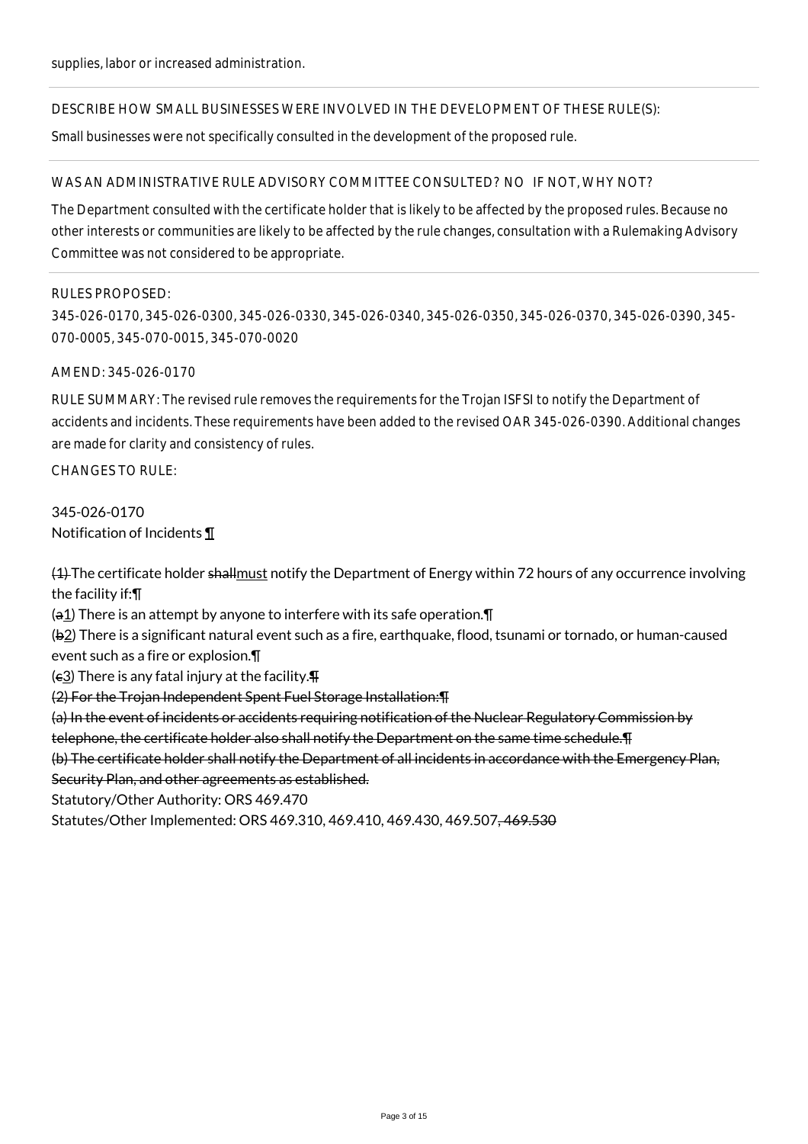#### DESCRIBE HOW SMALL BUSINESSES WERE INVOLVED IN THE DEVELOPMENT OF THESE RULE(S):

Small businesses were not specifically consulted in the development of the proposed rule.

#### WAS AN ADMINISTRATIVE RULE ADVISORY COMMITTEE CONSULTED? NO IF NOT, WHY NOT?

The Department consulted with the certificate holder that is likely to be affected by the proposed rules. Because no other interests or communities are likely to be affected by the rule changes, consultation with a Rulemaking Advisory Committee was not considered to be appropriate.

#### RULES PROPOSED:

345-026-0170, 345-026-0300, 345-026-0330, 345-026-0340, 345-026-0350, 345-026-0370, 345-026-0390, 345- 070-0005, 345-070-0015, 345-070-0020

#### AMEND: 345-026-0170

RULE SUMMARY: The revised rule removes the requirements for the Trojan ISFSI to notify the Department of accidents and incidents. These requirements have been added to the revised OAR 345-026-0390. Additional changes are made for clarity and consistency of rules.

 $CHANGFS TO RIIF$ 

# 345-026-0170 Notification of Incidents ¶

(4) The certificate holder shallmust notify the Department of Energy within 72 hours of any occurrence involving the facility if:¶

 $(a_1)$  There is an attempt by anyone to interfere with its safe operation.  $\P$ 

(b2) There is a significant natural event such as a fire, earthquake, flood, tsunami or tornado, or human-caused event such as a fire or explosion.¶

 $(e_3)$  There is any fatal injury at the facility. $\P$ 

(2) For the Trojan Independent Spent Fuel Storage Installation:¶

(a) In the event of incidents or accidents requiring notification of the Nuclear Regulatory Commission by

telephone, the certificate holder also shall notify the Department on the same time schedule.¶

(b) The certificate holder shall notify the Department of all incidents in accordance with the Emergency Plan, Security Plan, and other agreements as established.

Statutory/Other Authority: ORS 469.470

Statutes/Other Implemented: ORS 469.310, 469.410, 469.430, 469.507, 469.530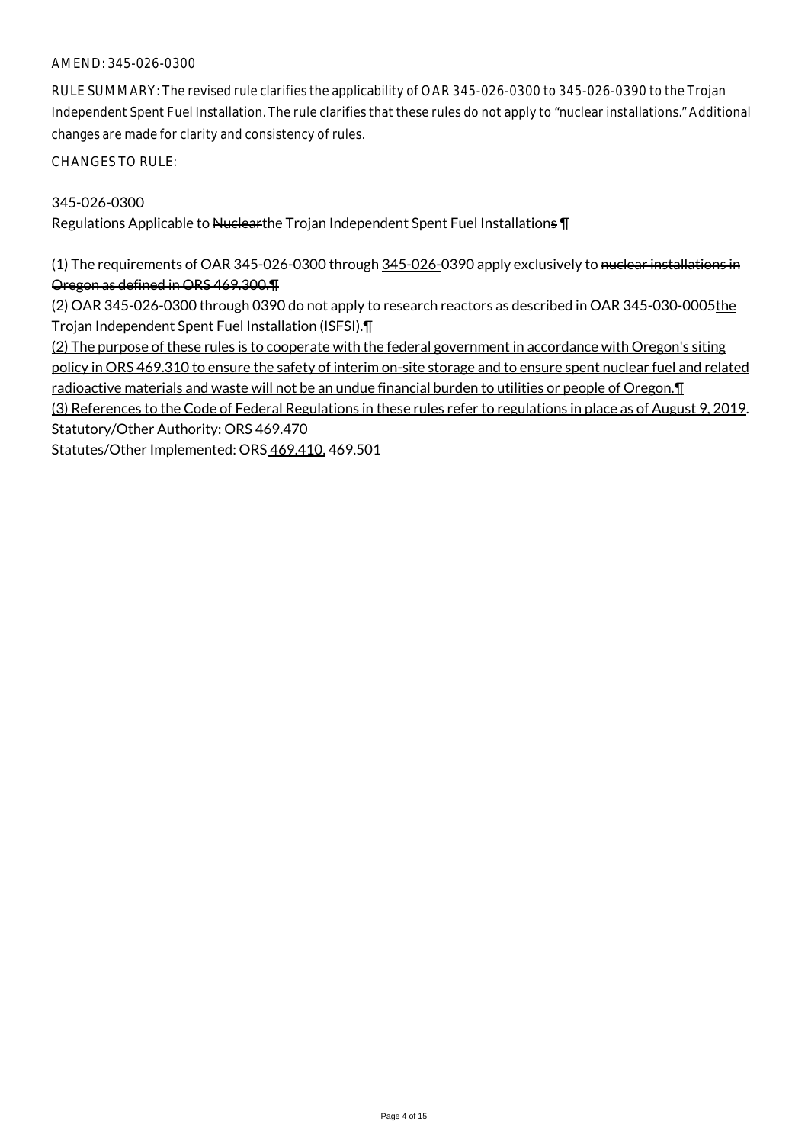RULE SUMMARY: The revised rule clarifies the applicability of OAR 345-026-0300 to 345-026-0390 to the Trojan Independent Spent Fuel Installation. The rule clarifies that these rules do not apply to "nuclear installations." Additional changes are made for clarity and consistency of rules.

CHANGES TO RULE:

#### 345-026-0300

Regulations Applicable to Nuclearthe Trojan Independent Spent Fuel Installations  $\P$ 

(1) The requirements of OAR 345-026-0300 through 345-026-0390 apply exclusively to nuclear installations in Oregon as defined in ORS 469.300.¶

(2) OAR 345-026-0300 through 0390 do not apply to research reactors as described in OAR 345-030-0005the Trojan Independent Spent Fuel Installation (ISFSI).¶

(2) The purpose of these rules is to cooperate with the federal government in accordance with Oregon's siting policy in ORS 469.310 to ensure the safety of interim on-site storage and to ensure spent nuclear fuel and related radioactive materials and waste will not be an undue financial burden to utilities or people of Oregon.¶

(3) References to the Code of Federal Regulations in these rules refer to regulations in place as of August 9, 2019. Statutory/Other Authority: ORS 469.470

Statutes/Other Implemented: ORS 469.410, 469.501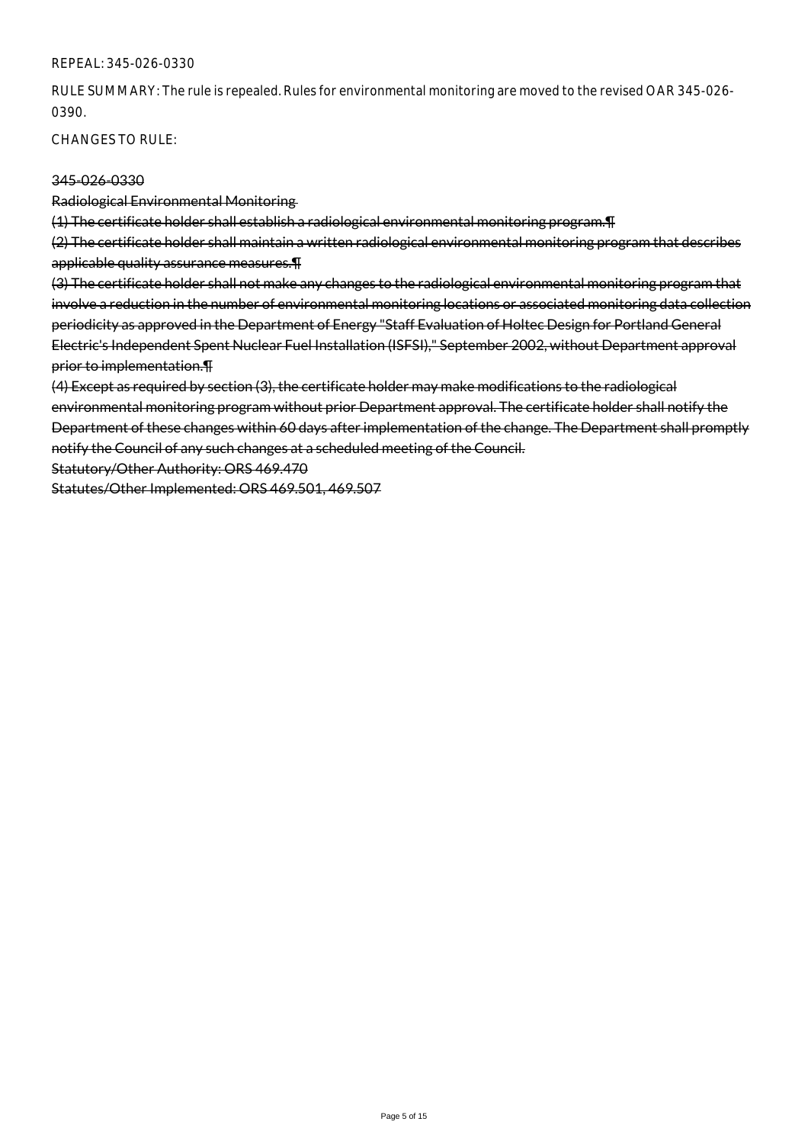#### REPEAL: 345-026-0330

RULE SUMMARY: The rule is repealed. Rules for environmental monitoring are moved to the revised OAR 345-026- 0390.

CHANGES TO RULE:

#### 345-026-0330

Radiological Environmental Monitoring

(1) The certificate holder shall establish a radiological environmental monitoring program.¶

(2) The certificate holder shall maintain a written radiological environmental monitoring program that describes applicable quality assurance measures.¶

(3) The certificate holder shall not make any changes to the radiological environmental monitoring program that involve a reduction in the number of environmental monitoring locations or associated monitoring data collection periodicity as approved in the Department of Energy "Staff Evaluation of Holtec Design for Portland General Electric's Independent Spent Nuclear Fuel Installation (ISFSI)," September 2002, without Department approval prior to implementation.¶

(4) Except as required by section (3), the certificate holder may make modifications to the radiological environmental monitoring program without prior Department approval. The certificate holder shall notify the Department of these changes within 60 days after implementation of the change. The Department shall promptly notify the Council of any such changes at a scheduled meeting of the Council.

Statutory/Other Authority: ORS 469.470

Statutes/Other Implemented: ORS 469.501, 469.507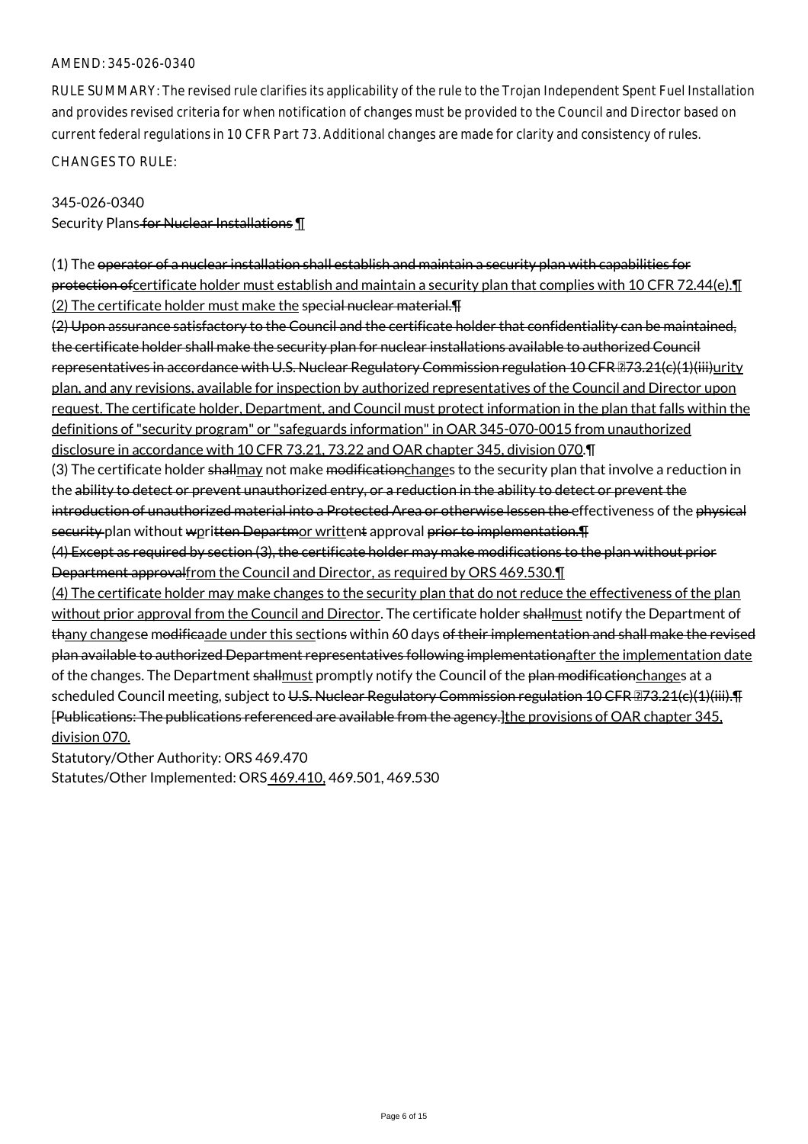RULE SUMMARY: The revised rule clarifies its applicability of the rule to the Trojan Independent Spent Fuel Installation and provides revised criteria for when notification of changes must be provided to the Council and Director based on current federal regulations in 10 CFR Part 73. Additional changes are made for clarity and consistency of rules. CHANGES TO RULE:

#### 345-026-0340

Security Plans for Nuclear Installations 1

(1) The operator of a nuclear installation shall establish and maintain a security plan with capabilities for protection of certificate holder must establish and maintain a security plan that complies with 10 CFR 72.44(e). (2) The certificate holder must make the special nuclear material. TH

(2) Upon assurance satisfactory to the Council and the certificate holder that confidentiality can be maintained, the certificate holder shall make the security plan for nuclear installations available to authorized Council representatives in accordance with U.S. Nuclear Regulatory Commission regulation 10 CFR 273.21(c)(1)(iii)urity plan, and any revisions, available for inspection by authorized representatives of the Council and Director upon request. The certificate holder, Department, and Council must protect information in the plan that falls within the definitions of "security program" or "safeguards information" in OAR 345-070-0015 from unauthorized disclosure in accordance with 10 CFR 73.21, 73.22 and OAR chapter 345, division 070.¶

(3) The certificate holder shallmay not make modificationchanges to the security plan that involve a reduction in the ability to detect or prevent unauthorized entry, or a reduction in the ability to detect or prevent the introduction of unauthorized material into a Protected Area or otherwise lessen the effectiveness of the physical security plan without wpritten Departmor writtent approval prior to implementation. The

(4) Except as required by section (3), the certificate holder may make modifications to the plan without prior Department approvalfrom the Council and Director, as required by ORS 469.530.¶

(4) The certificate holder may make changes to the security plan that do not reduce the effectiveness of the plan without prior approval from the Council and Director. The certificate holder shallmust notify the Department of thany changese modificaade under this sections within 60 days of their implementation and shall make the revised plan available to authorized Department representatives following implementationafter the implementation date of the changes. The Department shallmust promptly notify the Council of the plan modificationchanges at a scheduled Council meeting, subject to U.S. Nuclear Regulatory Commission regulation 10 CFR 273.21(c)(1)(iii). T [Publications: The publications referenced are available from the agency.]the provisions of OAR chapter 345, division 070.

Statutory/Other Authority: ORS 469.470

Statutes/Other Implemented: ORS 469.410, 469.501, 469.530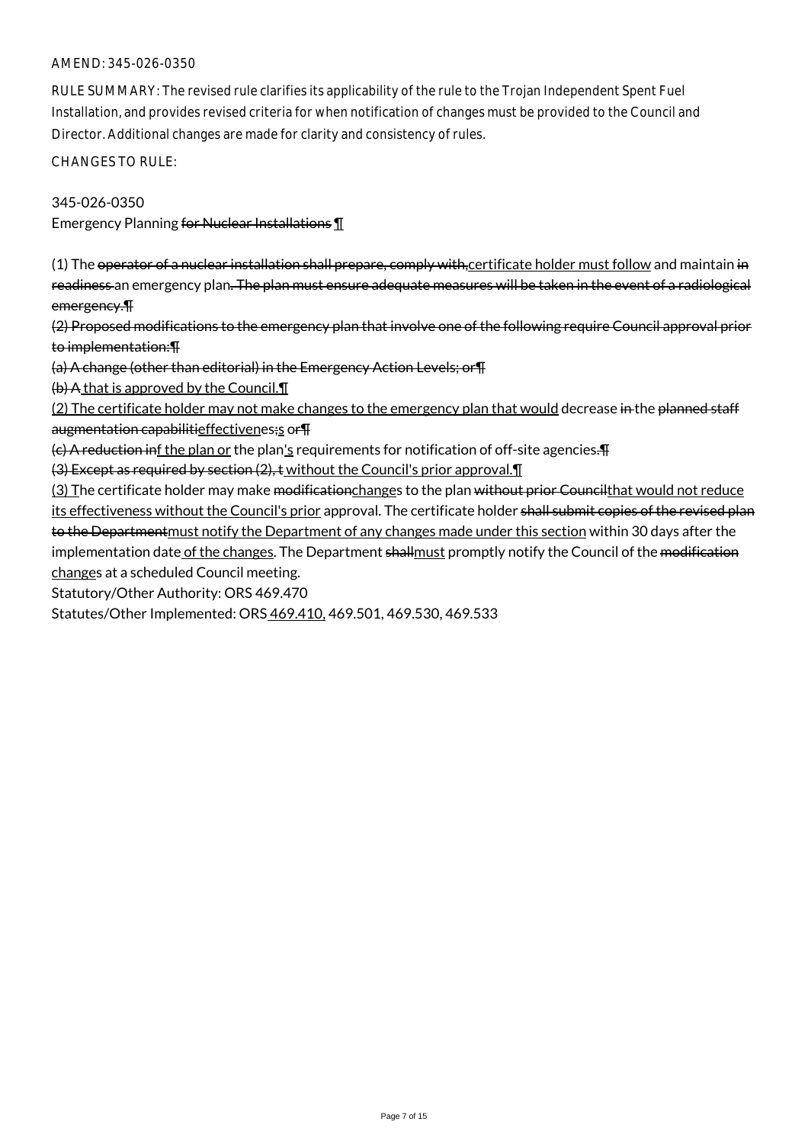RULE SUMMARY: The revised rule clarifies its applicability of the rule to the Trojan Independent Spent Fuel Installation, and provides revised criteria for when notification of changes must be provided to the Council and Director. Additional changes are made for clarity and consistency of rules.

CHANGES TO RULE:

345-026-0350 Emergency Planning for Nuclear Installations 1

(1) The operator of a nuclear installation shall prepare, comply with, certificate holder must follow and maintain in readiness an emergency plan. The plan must ensure adequate measures will be taken in the event of a radiological emergency.¶

(2) Proposed modifications to the emergency plan that involve one of the following require Council approval prior to implementation:¶

(a) A change (other than editorial) in the Emergency Action Levels; or¶

(b) A that is approved by the Council.¶

(2) The certificate holder may not make changes to the emergency plan that would decrease in the planned staff augmentation capabilitieffectivenes;s or T

 $(c)$  A reduction inf the plan or the plan's requirements for notification of off-site agencies.

(3) Except as required by section (2), t without the Council's prior approval.¶

(3) The certificate holder may make <del>modificationchanges</del> to the plan without prior Councilthat would not reduce its effectiveness without the Council's prior approval. The certificate holder shall submit copies of the revised plan to the Department must notify the Department of any changes made under this section within 30 days after the implementation date of the changes. The Department shallmust promptly notify the Council of the modification changes at a scheduled Council meeting.

Statutory/Other Authority: ORS 469.470

Statutes/Other Implemented: ORS 469.410, 469.501, 469.530, 469.533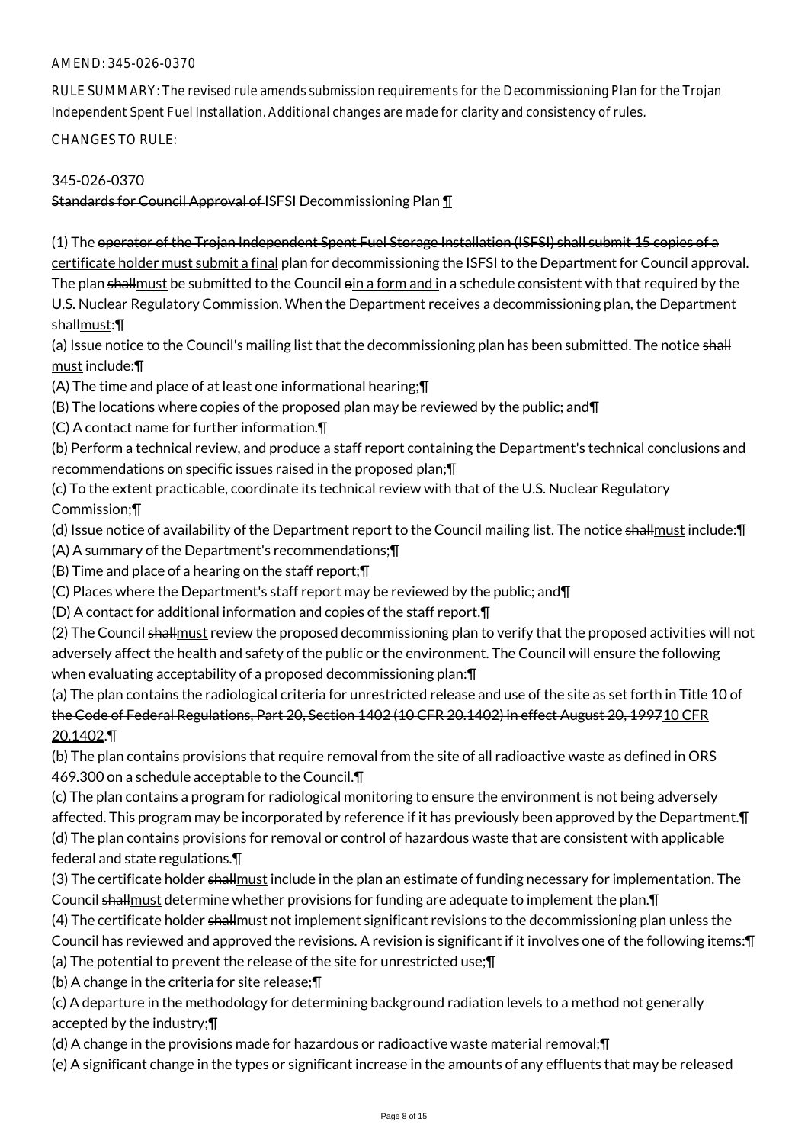RULE SUMMARY: The revised rule amends submission requirements for the Decommissioning Plan for the Trojan Independent Spent Fuel Installation. Additional changes are made for clarity and consistency of rules.

CHANGES TO RULE:

# 345-026-0370

Standards for Council Approval of ISFSI Decommissioning Plan ¶

(1) The operator of the Trojan Independent Spent Fuel Storage Installation (ISFSI) shall submit 15 copies of a certificate holder must submit a final plan for decommissioning the ISFSI to the Department for Council approval. The plan shallmust be submitted to the Council  $\sin a$  form and in a schedule consistent with that required by the U.S. Nuclear Regulatory Commission. When the Department receives a decommissioning plan, the Department shallmust:¶

(a) Issue notice to the Council's mailing list that the decommissioning plan has been submitted. The notice shall must include:¶

(A) The time and place of at least one informational hearing;¶

(B) The locations where copies of the proposed plan may be reviewed by the public; and¶

(C) A contact name for further information.¶

(b) Perform a technical review, and produce a staff report containing the Department's technical conclusions and recommendations on specific issues raised in the proposed plan;¶

(c) To the extent practicable, coordinate its technical review with that of the U.S. Nuclear Regulatory Commission;¶

(d) Issue notice of availability of the Department report to the Council mailing list. The notice shallmust include: [[

(A) A summary of the Department's recommendations;¶

(B) Time and place of a hearing on the staff report;¶

(C) Places where the Department's staff report may be reviewed by the public; and¶

(D) A contact for additional information and copies of the staff report.¶

(2) The Council shallmust review the proposed decommissioning plan to verify that the proposed activities will not adversely affect the health and safety of the public or the environment. The Council will ensure the following when evaluating acceptability of a proposed decommissioning plan:¶

(a) The plan contains the radiological criteria for unrestricted release and use of the site as set forth in Title 10 of the Code of Federal Regulations, Part 20, Section 1402 (10 CFR 20.1402) in effect August 20, 199710 CFR 20.1402.¶

(b) The plan contains provisions that require removal from the site of all radioactive waste as defined in ORS 469.300 on a schedule acceptable to the Council.¶

(c) The plan contains a program for radiological monitoring to ensure the environment is not being adversely affected. This program may be incorporated by reference if it has previously been approved by the Department.¶ (d) The plan contains provisions for removal or control of hazardous waste that are consistent with applicable federal and state regulations.¶

(3) The certificate holder shallmust include in the plan an estimate of funding necessary for implementation. The Council shallmust determine whether provisions for funding are adequate to implement the plan. T

(4) The certificate holder shallmust not implement significant revisions to the decommissioning plan unless the Council has reviewed and approved the revisions. A revision is significant if it involves one of the following items:¶

(a) The potential to prevent the release of the site for unrestricted use;¶

(b) A change in the criteria for site release;¶

(c) A departure in the methodology for determining background radiation levels to a method not generally accepted by the industry;¶

(d) A change in the provisions made for hazardous or radioactive waste material removal;¶

(e) A significant change in the types or significant increase in the amounts of any effluents that may be released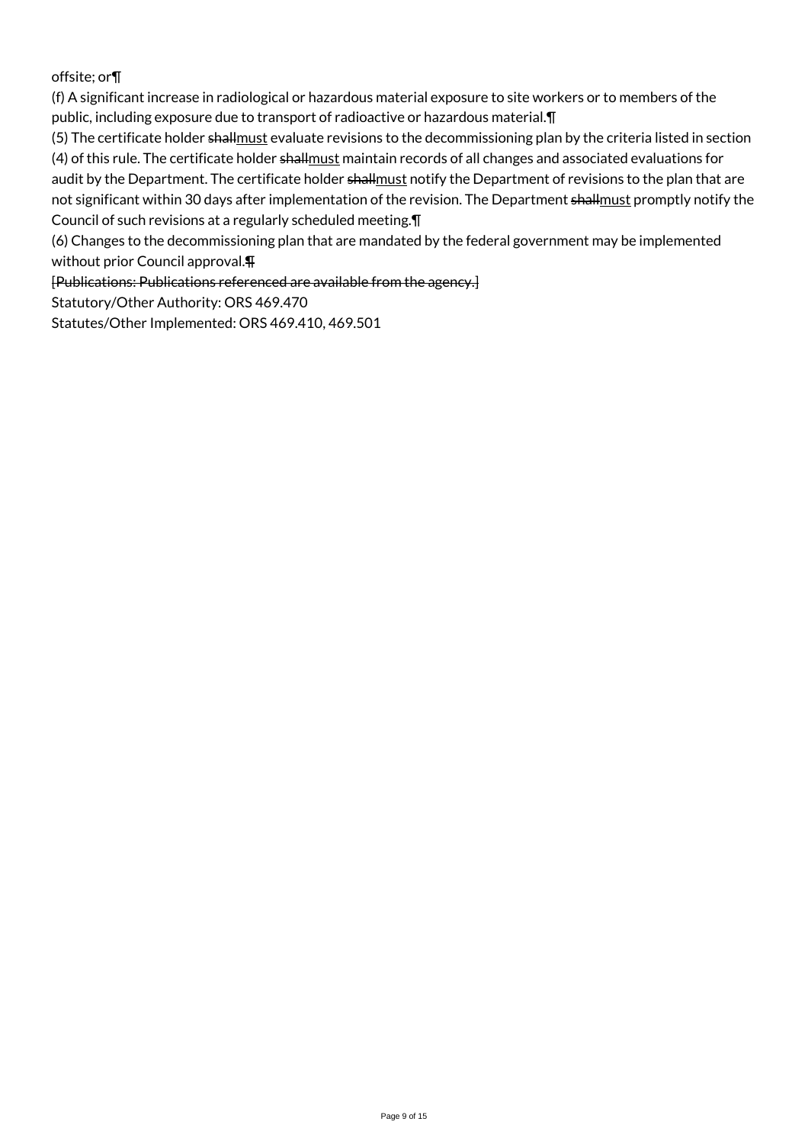offsite; or¶

(f) A significant increase in radiological or hazardous material exposure to site workers or to members of the public, including exposure due to transport of radioactive or hazardous material.¶

(5) The certificate holder shallmust evaluate revisions to the decommissioning plan by the criteria listed in section (4) of this rule. The certificate holder shallmust maintain records of all changes and associated evaluations for audit by the Department. The certificate holder shallmust notify the Department of revisions to the plan that are not significant within 30 days after implementation of the revision. The Department shallmust promptly notify the Council of such revisions at a regularly scheduled meeting.¶

(6) Changes to the decommissioning plan that are mandated by the federal government may be implemented without prior Council approval.¶

[Publications: Publications referenced are available from the agency.]

Statutory/Other Authority: ORS 469.470

Statutes/Other Implemented: ORS 469.410, 469.501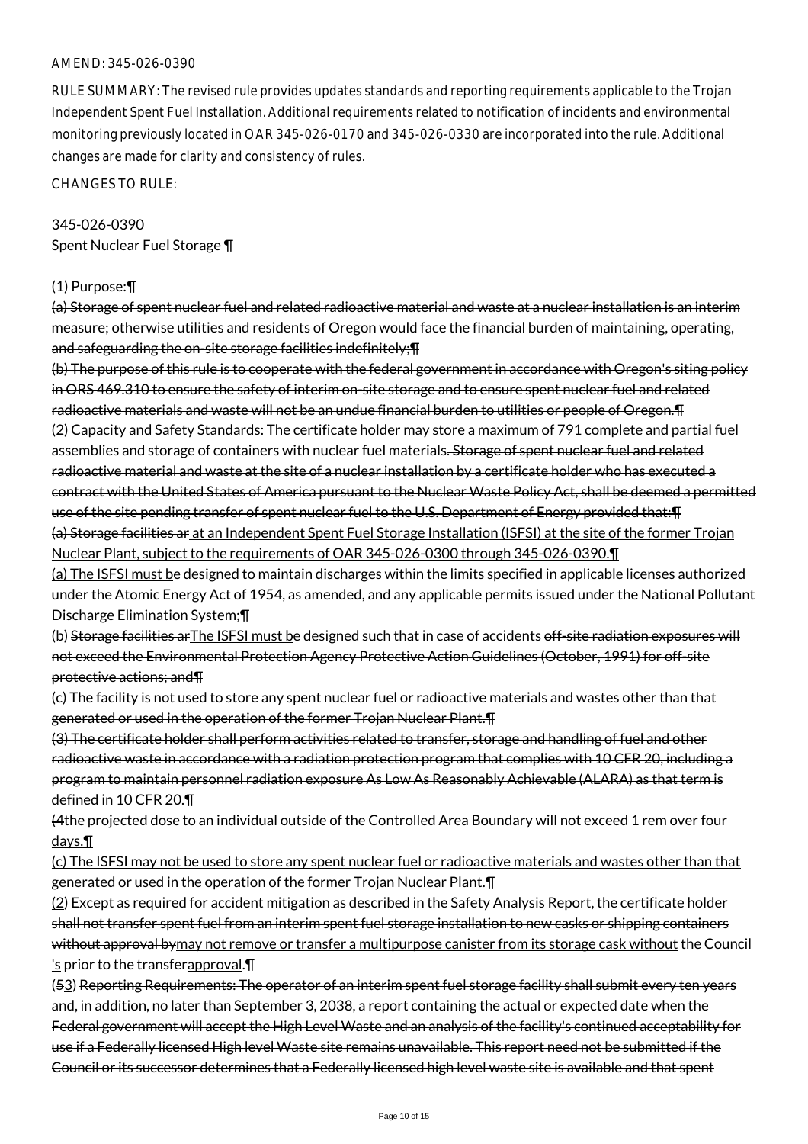RULE SUMMARY: The revised rule provides updates standards and reporting requirements applicable to the Trojan Independent Spent Fuel Installation. Additional requirements related to notification of incidents and environmental monitoring previously located in OAR 345-026-0170 and 345-026-0330 are incorporated into the rule. Additional changes are made for clarity and consistency of rules.

CHANGES TO RULE:

# 345-026-0390 Spent Nuclear Fuel Storage ¶

#### (1) Purpose:¶

(a) Storage of spent nuclear fuel and related radioactive material and waste at a nuclear installation is an interim measure; otherwise utilities and residents of Oregon would face the financial burden of maintaining, operating, and safeguarding the on-site storage facilities indefinitely; [1]

(b) The purpose of this rule is to cooperate with the federal government in accordance with Oregon's siting policy in ORS 469.310 to ensure the safety of interim on-site storage and to ensure spent nuclear fuel and related radioactive materials and waste will not be an undue financial burden to utilities or people of Oregon.¶ (2) Capacity and Safety Standards: The certificate holder may store a maximum of 791 complete and partial fuel assemblies and storage of containers with nuclear fuel materials. Storage of spent nuclear fuel and related radioactive material and waste at the site of a nuclear installation by a certificate holder who has executed a contract with the United States of America pursuant to the Nuclear Waste Policy Act, shall be deemed a permitted use of the site pending transfer of spent nuclear fuel to the U.S. Department of Energy provided that: [1] (a) Storage facilities ar at an Independent Spent Fuel Storage Installation (ISFSI) at the site of the former Trojan Nuclear Plant, subject to the requirements of OAR 345-026-0300 through 345-026-0390.¶

(a) The ISFSI must be designed to maintain discharges within the limits specified in applicable licenses authorized under the Atomic Energy Act of 1954, as amended, and any applicable permits issued under the National Pollutant Discharge Elimination System;¶

(b) Storage facilities arThe ISFSI must be designed such that in case of accidents off-site radiation exposures will not exceed the Environmental Protection Agency Protective Action Guidelines (October, 1991) for off-site protective actions; and¶

(c) The facility is not used to store any spent nuclear fuel or radioactive materials and wastes other than that generated or used in the operation of the former Trojan Nuclear Plant.¶

(3) The certificate holder shall perform activities related to transfer, storage and handling of fuel and other radioactive waste in accordance with a radiation protection program that complies with 10 CFR 20, including a program to maintain personnel radiation exposure As Low As Reasonably Achievable (ALARA) as that term is defined in 10 CFR 20.¶

(4the projected dose to an individual outside of the Controlled Area Boundary will not exceed 1 rem over four days.¶

(c) The ISFSI may not be used to store any spent nuclear fuel or radioactive materials and wastes other than that generated or used in the operation of the former Trojan Nuclear Plant.¶

(2) Except as required for accident mitigation as described in the Safety Analysis Report, the certificate holder shall not transfer spent fuel from an interim spent fuel storage installation to new casks or shipping containers without approval bymay not remove or transfer a multipurpose canister from its storage cask without the Council 's prior to the transferapproval. II

(53) Reporting Requirements: The operator of an interim spent fuel storage facility shall submit every ten years and, in addition, no later than September 3, 2038, a report containing the actual or expected date when the Federal government will accept the High Level Waste and an analysis of the facility's continued acceptability for use if a Federally licensed High level Waste site remains unavailable. This report need not be submitted if the Council or its successor determines that a Federally licensed high level waste site is available and that spent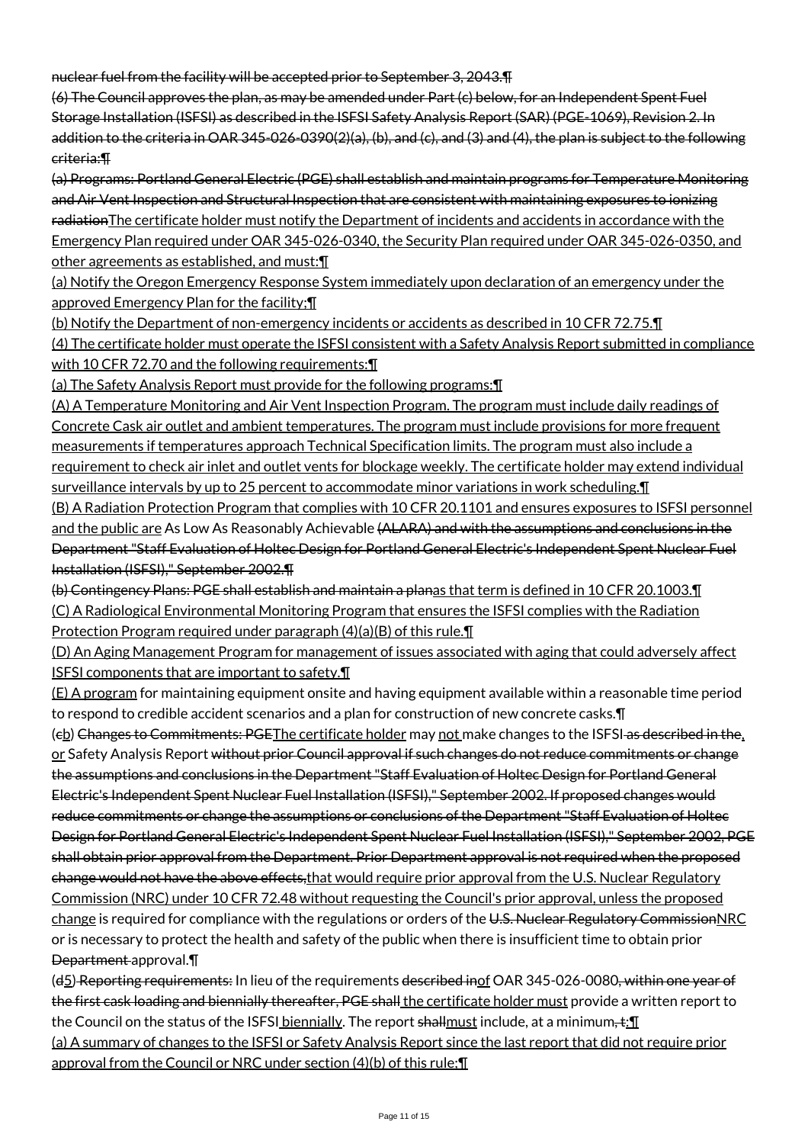nuclear fuel from the facility will be accepted prior to September 3, 2043.¶

(6) The Council approves the plan, as may be amended under Part (c) below, for an Independent Spent Fuel Storage Installation (ISFSI) as described in the ISFSI Safety Analysis Report (SAR) (PGE-1069), Revision 2. In addition to the criteria in OAR 345-026-0390(2)(a), (b), and (c), and (3) and (4), the plan is subject to the following criteria:¶

(a) Programs: Portland General Electric (PGE) shall establish and maintain programs for Temperature Monitoring and Air Vent Inspection and Structural Inspection that are consistent with maintaining exposures to ionizing radiationThe certificate holder must notify the Department of incidents and accidents in accordance with the Emergency Plan required under OAR 345-026-0340, the Security Plan required under OAR 345-026-0350, and other agreements as established, and must:¶

(a) Notify the Oregon Emergency Response System immediately upon declaration of an emergency under the approved Emergency Plan for the facility;¶

(b) Notify the Department of non-emergency incidents or accidents as described in 10 CFR 72.75.¶ (4) The certificate holder must operate the ISFSI consistent with a Safety Analysis Report submitted in compliance with 10 CFR 72.70 and the following requirements: [1]

(a) The Safety Analysis Report must provide for the following programs:¶

(A) A Temperature Monitoring and Air Vent Inspection Program. The program must include daily readings of Concrete Cask air outlet and ambient temperatures. The program must include provisions for more frequent measurements if temperatures approach Technical Specification limits. The program must also include a requirement to check air inlet and outlet vents for blockage weekly. The certificate holder may extend individual surveillance intervals by up to 25 percent to accommodate minor variations in work scheduling.¶

(B) A Radiation Protection Program that complies with 10 CFR 20.1101 and ensures exposures to ISFSI personnel and the public are As Low As Reasonably Achievable (ALARA) and with the assumptions and conclusions in the Department "Staff Evaluation of Holtec Design for Portland General Electric's Independent Spent Nuclear Fuel Installation (ISFSI)," September 2002.¶

(b) Contingency Plans: PGE shall establish and maintain a planas that term is defined in 10 CFR 20.1003.¶ (C) A Radiological Environmental Monitoring Program that ensures the ISFSI complies with the Radiation Protection Program required under paragraph (4)(a)(B) of this rule.¶

(D) An Aging Management Program for management of issues associated with aging that could adversely affect ISFSI components that are important to safety.¶

(E) A program for maintaining equipment onsite and having equipment available within a reasonable time period to respond to credible accident scenarios and a plan for construction of new concrete casks.¶

(eb) Changes to Commitments: PGEThe certificate holder may not make changes to the ISFSI as described in the, or Safety Analysis Report without prior Council approval if such changes do not reduce commitments or change the assumptions and conclusions in the Department "Staff Evaluation of Holtec Design for Portland General Electric's Independent Spent Nuclear Fuel Installation (ISFSI)," September 2002. If proposed changes would reduce commitments or change the assumptions or conclusions of the Department "Staff Evaluation of Holtec Design for Portland General Electric's Independent Spent Nuclear Fuel Installation (ISFSI)," September 2002, PGE shall obtain prior approval from the Department. Prior Department approval is not required when the proposed change would not have the above effects, that would require prior approval from the U.S. Nuclear Regulatory Commission (NRC) under 10 CFR 72.48 without requesting the Council's prior approval, unless the proposed change is required for compliance with the regulations or orders of the U.S. Nuclear Regulatory CommissionNRC or is necessary to protect the health and safety of the public when there is insufficient time to obtain prior Department approval.¶

(d5) Reporting requirements: In lieu of the requirements described inof OAR 345-026-0080, within one year of the first cask loading and biennially thereafter, PGE shall the certificate holder must provide a written report to the Council on the status of the ISFSI biennially. The report shallmust include, at a minimum, t: [[ (a) A summary of changes to the ISFSI or Safety Analysis Report since the last report that did not require prior

approval from the Council or NRC under section (4)(b) of this rule;¶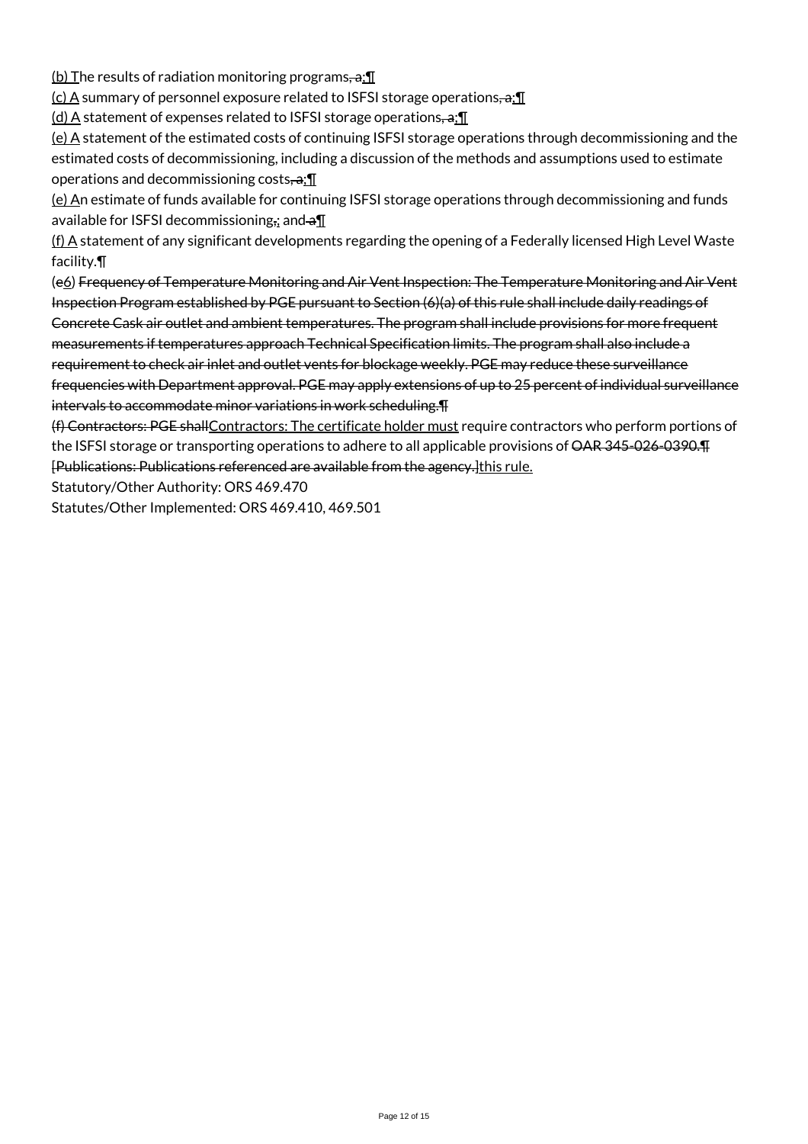(b) The results of radiation monitoring programs,  $a$ ;  $\P$ 

(c) A summary of personnel exposure related to ISFSI storage operations, a: 1

 $(d)$  A statement of expenses related to ISFSI storage operations,  $a_i$ 

(e) A statement of the estimated costs of continuing ISFSI storage operations through decommissioning and the estimated costs of decommissioning, including a discussion of the methods and assumptions used to estimate operations and decommissioning costs, $\cdot a$ ;  $\mathbb{I}$ 

(e) An estimate of funds available for continuing ISFSI storage operations through decommissioning and funds available for ISFSI decommissioning<sub>ii</sub> and  $\theta$ <sup>I</sup>

 $(f)$  A statement of any significant developments regarding the opening of a Federally licensed High Level Waste facility.¶

(e6) Frequency of Temperature Monitoring and Air Vent Inspection: The Temperature Monitoring and Air Vent Inspection Program established by PGE pursuant to Section (6)(a) of this rule shall include daily readings of Concrete Cask air outlet and ambient temperatures. The program shall include provisions for more frequent measurements if temperatures approach Technical Specification limits. The program shall also include a requirement to check air inlet and outlet vents for blockage weekly. PGE may reduce these surveillance frequencies with Department approval. PGE may apply extensions of up to 25 percent of individual surveillance intervals to accommodate minor variations in work scheduling.¶

(f) Contractors: PGE shallContractors: The certificate holder must require contractors who perform portions of the ISFSI storage or transporting operations to adhere to all applicable provisions of  $\overline{\text{OAR}}$  345-026-0390. [Publications: Publications referenced are available from the agency.]this rule.

Statutory/Other Authority: ORS 469.470

Statutes/Other Implemented: ORS 469.410, 469.501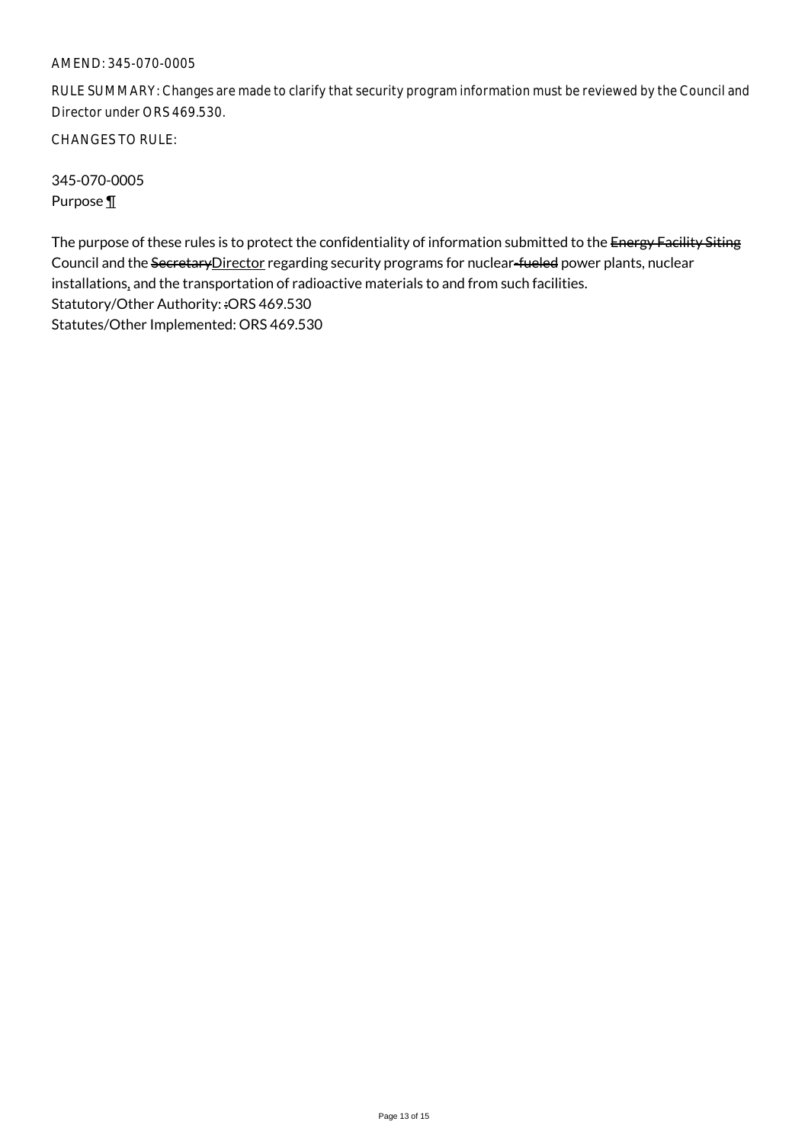# AMEND: 345-070-0005

RULE SUMMARY: Changes are made to clarify that security program information must be reviewed by the Council and Director under ORS 469.530.

CHANGES TO RULE:

345-070-0005 Purpose ¶

The purpose of these rules is to protect the confidentiality of information submitted to the Energy Facility Siting Council and the SecretaryDirector regarding security programs for nuclear-fueled power plants, nuclear installations, and the transportation of radioactive materials to and from such facilities. Statutory/Other Authority: :ORS 469.530 Statutes/Other Implemented: ORS 469.530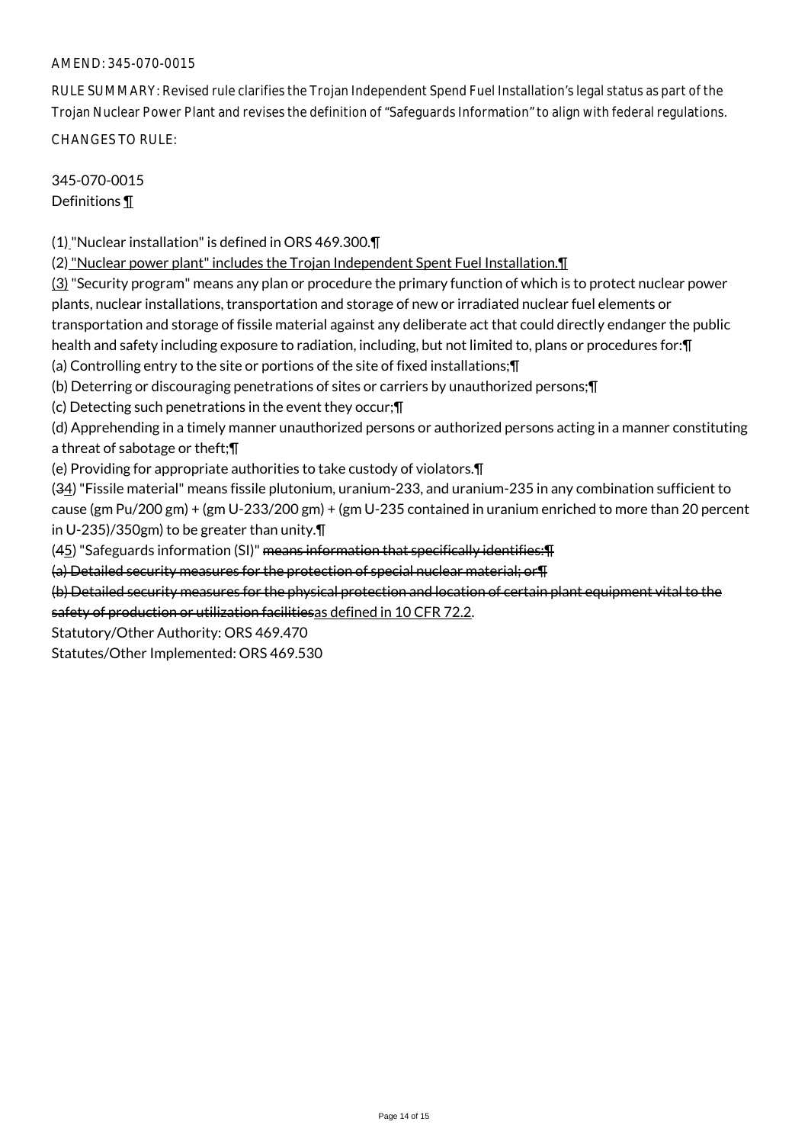# AMEND: 345-070-0015

RULE SUMMARY: Revised rule clarifies the Trojan Independent Spend Fuel Installation's legal status as part of the Trojan Nuclear Power Plant and revises the definition of "Safeguards Information" to align with federal regulations. CHANGES TO RULE:

345-070-0015 Definitions ¶

(1)"Nuclear installation" is defined in ORS 469.300.¶

(2) "Nuclear power plant" includes the Trojan Independent Spent Fuel Installation.¶

(3) "Security program" means any plan or procedure the primary function of which is to protect nuclear power plants, nuclear installations, transportation and storage of new or irradiated nuclear fuel elements or transportation and storage of fissile material against any deliberate act that could directly endanger the public health and safety including exposure to radiation, including, but not limited to, plans or procedures for: [1] (a) Controlling entry to the site or portions of the site of fixed installations;¶

(b) Deterring or discouraging penetrations of sites or carriers by unauthorized persons;¶

(c) Detecting such penetrations in the event they occur;¶

(d) Apprehending in a timely manner unauthorized persons or authorized persons acting in a manner constituting a threat of sabotage or theft;¶

(e) Providing for appropriate authorities to take custody of violators.¶

(34) "Fissile material" means fissile plutonium, uranium-233, and uranium-235 in any combination sufficient to cause (gm Pu/200 gm) + (gm U-233/200 gm) + (gm U-235 contained in uranium enriched to more than 20 percent in U-235)/350gm) to be greater than unity.¶

 $(45)$  "Safeguards information (SI)" means information that specifically identifies:  $\text{T}$ 

(a) Detailed security measures for the protection of special nuclear material; or¶

(b) Detailed security measures for the physical protection and location of certain plant equipment vital to the safety of production or utilization facilitiesas defined in 10 CFR 72.2.

Statutory/Other Authority: ORS 469.470

Statutes/Other Implemented: ORS 469.530